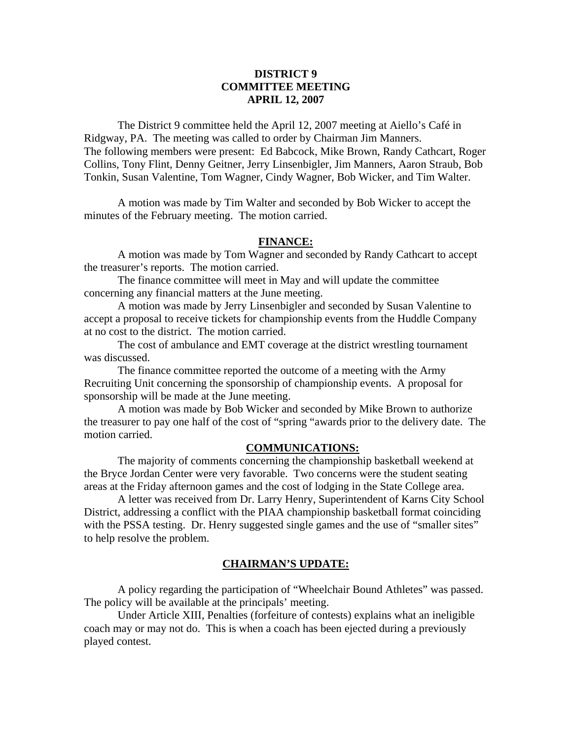## **DISTRICT 9 COMMITTEE MEETING APRIL 12, 2007**

 The District 9 committee held the April 12, 2007 meeting at Aiello's Café in Ridgway, PA. The meeting was called to order by Chairman Jim Manners. The following members were present: Ed Babcock, Mike Brown, Randy Cathcart, Roger Collins, Tony Flint, Denny Geitner, Jerry Linsenbigler, Jim Manners, Aaron Straub, Bob Tonkin, Susan Valentine, Tom Wagner, Cindy Wagner, Bob Wicker, and Tim Walter.

 A motion was made by Tim Walter and seconded by Bob Wicker to accept the minutes of the February meeting. The motion carried.

### **FINANCE:**

A motion was made by Tom Wagner and seconded by Randy Cathcart to accept the treasurer's reports. The motion carried.

 The finance committee will meet in May and will update the committee concerning any financial matters at the June meeting.

 A motion was made by Jerry Linsenbigler and seconded by Susan Valentine to accept a proposal to receive tickets for championship events from the Huddle Company at no cost to the district. The motion carried.

 The cost of ambulance and EMT coverage at the district wrestling tournament was discussed.

 The finance committee reported the outcome of a meeting with the Army Recruiting Unit concerning the sponsorship of championship events. A proposal for sponsorship will be made at the June meeting.

 A motion was made by Bob Wicker and seconded by Mike Brown to authorize the treasurer to pay one half of the cost of "spring "awards prior to the delivery date. The motion carried.

### **COMMUNICATIONS:**

 The majority of comments concerning the championship basketball weekend at the Bryce Jordan Center were very favorable. Two concerns were the student seating areas at the Friday afternoon games and the cost of lodging in the State College area.

 A letter was received from Dr. Larry Henry, Superintendent of Karns City School District, addressing a conflict with the PIAA championship basketball format coinciding with the PSSA testing. Dr. Henry suggested single games and the use of "smaller sites" to help resolve the problem.

#### **CHAIRMAN'S UPDATE:**

 A policy regarding the participation of "Wheelchair Bound Athletes" was passed. The policy will be available at the principals' meeting.

 Under Article XIII, Penalties (forfeiture of contests) explains what an ineligible coach may or may not do. This is when a coach has been ejected during a previously played contest.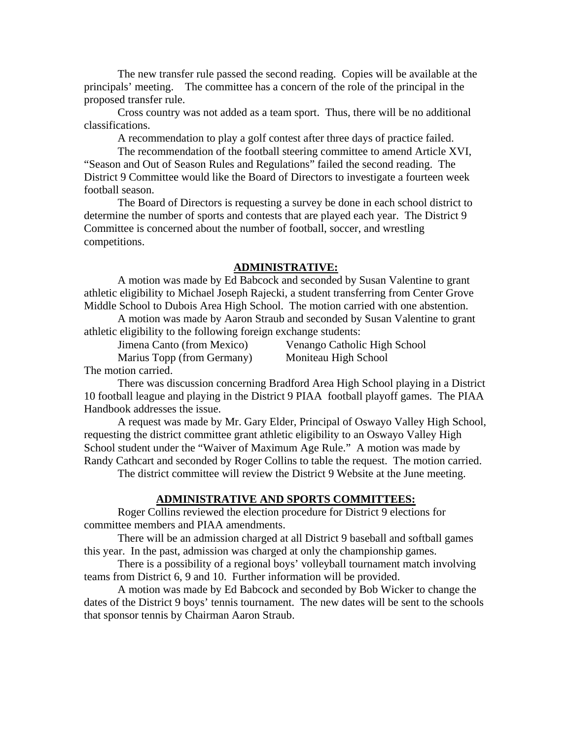The new transfer rule passed the second reading. Copies will be available at the principals' meeting. The committee has a concern of the role of the principal in the proposed transfer rule.

 Cross country was not added as a team sport. Thus, there will be no additional classifications.

A recommendation to play a golf contest after three days of practice failed.

 The recommendation of the football steering committee to amend Article XVI, "Season and Out of Season Rules and Regulations" failed the second reading. The District 9 Committee would like the Board of Directors to investigate a fourteen week football season.

 The Board of Directors is requesting a survey be done in each school district to determine the number of sports and contests that are played each year. The District 9 Committee is concerned about the number of football, soccer, and wrestling competitions.

#### **ADMINISTRATIVE:**

 A motion was made by Ed Babcock and seconded by Susan Valentine to grant athletic eligibility to Michael Joseph Rajecki, a student transferring from Center Grove Middle School to Dubois Area High School. The motion carried with one abstention.

 A motion was made by Aaron Straub and seconded by Susan Valentine to grant athletic eligibility to the following foreign exchange students:

Jimena Canto (from Mexico) Venango Catholic High School Marius Topp (from Germany) Moniteau High School

The motion carried.

 There was discussion concerning Bradford Area High School playing in a District 10 football league and playing in the District 9 PIAA football playoff games. The PIAA Handbook addresses the issue.

 A request was made by Mr. Gary Elder, Principal of Oswayo Valley High School, requesting the district committee grant athletic eligibility to an Oswayo Valley High School student under the "Waiver of Maximum Age Rule." A motion was made by Randy Cathcart and seconded by Roger Collins to table the request. The motion carried.

The district committee will review the District 9 Website at the June meeting.

## **ADMINISTRATIVE AND SPORTS COMMITTEES:**

 Roger Collins reviewed the election procedure for District 9 elections for committee members and PIAA amendments.

 There will be an admission charged at all District 9 baseball and softball games this year. In the past, admission was charged at only the championship games.

 There is a possibility of a regional boys' volleyball tournament match involving teams from District 6, 9 and 10. Further information will be provided.

 A motion was made by Ed Babcock and seconded by Bob Wicker to change the dates of the District 9 boys' tennis tournament. The new dates will be sent to the schools that sponsor tennis by Chairman Aaron Straub.